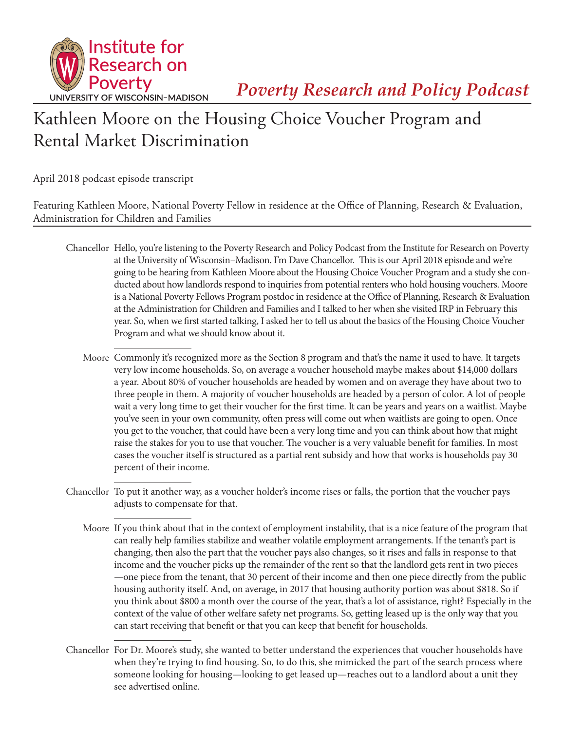

*Poverty Research and Policy Podcast*

## Kathleen Moore on the Housing Choice Voucher Program and Rental Market Discrimination

April 2018 podcast episode transcript

Featuring Kathleen Moore, National Poverty Fellow in residence at the Office of Planning, Research & Evaluation, Administration for Children and Families

- Chancellor Hello, you're listening to the Poverty Research and Policy Podcast from the Institute for Research on Poverty at the University of Wisconsin–Madison. I'm Dave Chancellor. This is our April 2018 episode and we're going to be hearing from Kathleen Moore about the Housing Choice Voucher Program and a study she conducted about how landlords respond to inquiries from potential renters who hold housing vouchers. Moore is a National Poverty Fellows Program postdoc in residence at the Office of Planning, Research & Evaluation at the Administration for Children and Families and I talked to her when she visited IRP in February this year. So, when we first started talking, I asked her to tell us about the basics of the Housing Choice Voucher Program and what we should know about it.
	- Moore Commonly it's recognized more as the Section 8 program and that's the name it used to have. It targets very low income households. So, on average a voucher household maybe makes about \$14,000 dollars a year. About 80% of voucher households are headed by women and on average they have about two to three people in them. A majority of voucher households are headed by a person of color. A lot of people wait a very long time to get their voucher for the first time. It can be years and years on a waitlist. Maybe you've seen in your own community, often press will come out when waitlists are going to open. Once you get to the voucher, that could have been a very long time and you can think about how that might raise the stakes for you to use that voucher. The voucher is a very valuable benefit for families. In most cases the voucher itself is structured as a partial rent subsidy and how that works is households pay 30 percent of their income.
- Chancellor To put it another way, as a voucher holder's income rises or falls, the portion that the voucher pays adjusts to compensate for that.
	- Moore If you think about that in the context of employment instability, that is a nice feature of the program that can really help families stabilize and weather volatile employment arrangements. If the tenant's part is changing, then also the part that the voucher pays also changes, so it rises and falls in response to that income and the voucher picks up the remainder of the rent so that the landlord gets rent in two pieces —one piece from the tenant, that 30 percent of their income and then one piece directly from the public housing authority itself. And, on average, in 2017 that housing authority portion was about \$818. So if you think about \$800 a month over the course of the year, that's a lot of assistance, right? Especially in the context of the value of other welfare safety net programs. So, getting leased up is the only way that you can start receiving that benefit or that you can keep that benefit for households.
- Chancellor For Dr. Moore's study, she wanted to better understand the experiences that voucher households have when they're trying to find housing. So, to do this, she mimicked the part of the search process where someone looking for housing—looking to get leased up—reaches out to a landlord about a unit they see advertised online.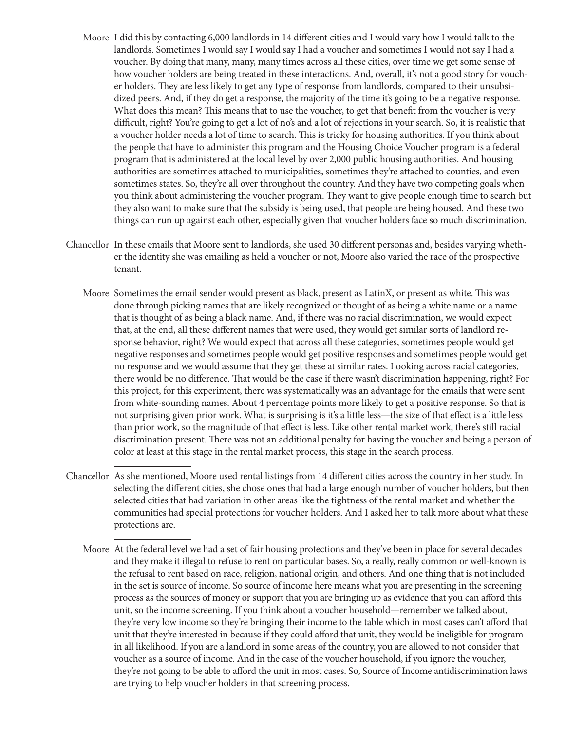- Moore I did this by contacting 6,000 landlords in 14 different cities and I would vary how I would talk to the landlords. Sometimes I would say I would say I had a voucher and sometimes I would not say I had a voucher. By doing that many, many, many times across all these cities, over time we get some sense of how voucher holders are being treated in these interactions. And, overall, it's not a good story for voucher holders. They are less likely to get any type of response from landlords, compared to their unsubsidized peers. And, if they do get a response, the majority of the time it's going to be a negative response. What does this mean? This means that to use the voucher, to get that benefit from the voucher is very difficult, right? You're going to get a lot of no's and a lot of rejections in your search. So, it is realistic that a voucher holder needs a lot of time to search. This is tricky for housing authorities. If you think about the people that have to administer this program and the Housing Choice Voucher program is a federal program that is administered at the local level by over 2,000 public housing authorities. And housing authorities are sometimes attached to municipalities, sometimes they're attached to counties, and even sometimes states. So, they're all over throughout the country. And they have two competing goals when you think about administering the voucher program. They want to give people enough time to search but they also want to make sure that the subsidy is being used, that people are being housed. And these two things can run up against each other, especially given that voucher holders face so much discrimination.
- Chancellor In these emails that Moore sent to landlords, she used 30 different personas and, besides varying whether the identity she was emailing as held a voucher or not, Moore also varied the race of the prospective tenant.
	- Moore Sometimes the email sender would present as black, present as LatinX, or present as white. This was done through picking names that are likely recognized or thought of as being a white name or a name that is thought of as being a black name. And, if there was no racial discrimination, we would expect that, at the end, all these different names that were used, they would get similar sorts of landlord response behavior, right? We would expect that across all these categories, sometimes people would get negative responses and sometimes people would get positive responses and sometimes people would get no response and we would assume that they get these at similar rates. Looking across racial categories, there would be no difference. That would be the case if there wasn't discrimination happening, right? For this project, for this experiment, there was systematically was an advantage for the emails that were sent from white-sounding names. About 4 percentage points more likely to get a positive response. So that is not surprising given prior work. What is surprising is it's a little less—the size of that effect is a little less than prior work, so the magnitude of that effect is less. Like other rental market work, there's still racial discrimination present. There was not an additional penalty for having the voucher and being a person of color at least at this stage in the rental market process, this stage in the search process.
- Chancellor As she mentioned, Moore used rental listings from 14 different cities across the country in her study. In selecting the different cities, she chose ones that had a large enough number of voucher holders, but then selected cities that had variation in other areas like the tightness of the rental market and whether the communities had special protections for voucher holders. And I asked her to talk more about what these protections are.
	- Moore At the federal level we had a set of fair housing protections and they've been in place for several decades and they make it illegal to refuse to rent on particular bases. So, a really, really common or well-known is the refusal to rent based on race, religion, national origin, and others. And one thing that is not included in the set is source of income. So source of income here means what you are presenting in the screening process as the sources of money or support that you are bringing up as evidence that you can afford this unit, so the income screening. If you think about a voucher household—remember we talked about, they're very low income so they're bringing their income to the table which in most cases can't afford that unit that they're interested in because if they could afford that unit, they would be ineligible for program in all likelihood. If you are a landlord in some areas of the country, you are allowed to not consider that voucher as a source of income. And in the case of the voucher household, if you ignore the voucher, they're not going to be able to afford the unit in most cases. So, Source of Income antidiscrimination laws are trying to help voucher holders in that screening process.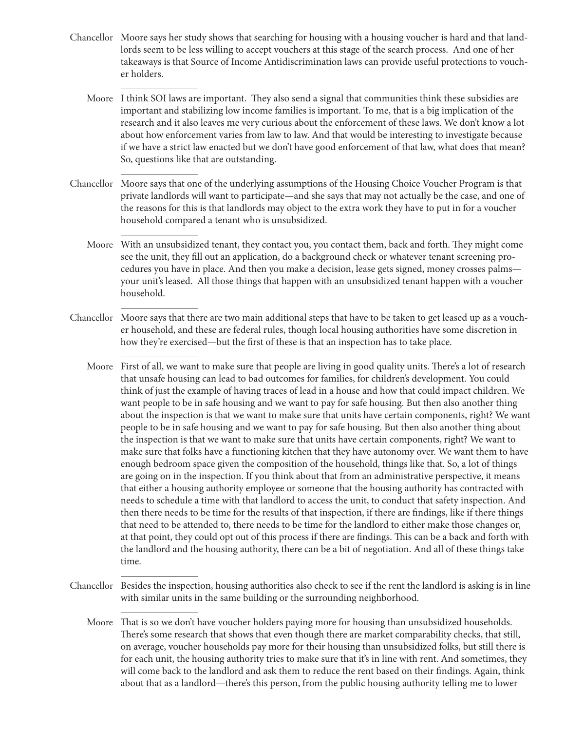Chancellor Moore says her study shows that searching for housing with a housing voucher is hard and that landlords seem to be less willing to accept vouchers at this stage of the search process. And one of her takeaways is that Source of Income Antidiscrimination laws can provide useful protections to voucher holders.

Moore I think SOI laws are important. They also send a signal that communities think these subsidies are important and stabilizing low income families is important. To me, that is a big implication of the research and it also leaves me very curious about the enforcement of these laws. We don't know a lot about how enforcement varies from law to law. And that would be interesting to investigate because if we have a strict law enacted but we don't have good enforcement of that law, what does that mean? So, questions like that are outstanding.

- Chancellor Moore says that one of the underlying assumptions of the Housing Choice Voucher Program is that private landlords will want to participate—and she says that may not actually be the case, and one of the reasons for this is that landlords may object to the extra work they have to put in for a voucher household compared a tenant who is unsubsidized.
	- Moore With an unsubsidized tenant, they contact you, you contact them, back and forth. They might come see the unit, they fill out an application, do a background check or whatever tenant screening procedures you have in place. And then you make a decision, lease gets signed, money crosses palms your unit's leased. All those things that happen with an unsubsidized tenant happen with a voucher household.
- Chancellor Moore says that there are two main additional steps that have to be taken to get leased up as a voucher household, and these are federal rules, though local housing authorities have some discretion in how they're exercised—but the first of these is that an inspection has to take place.
	- Moore First of all, we want to make sure that people are living in good quality units. There's a lot of research that unsafe housing can lead to bad outcomes for families, for children's development. You could think of just the example of having traces of lead in a house and how that could impact children. We want people to be in safe housing and we want to pay for safe housing. But then also another thing about the inspection is that we want to make sure that units have certain components, right? We want people to be in safe housing and we want to pay for safe housing. But then also another thing about the inspection is that we want to make sure that units have certain components, right? We want to make sure that folks have a functioning kitchen that they have autonomy over. We want them to have enough bedroom space given the composition of the household, things like that. So, a lot of things are going on in the inspection. If you think about that from an administrative perspective, it means that either a housing authority employee or someone that the housing authority has contracted with needs to schedule a time with that landlord to access the unit, to conduct that safety inspection. And then there needs to be time for the results of that inspection, if there are findings, like if there things that need to be attended to, there needs to be time for the landlord to either make those changes or, at that point, they could opt out of this process if there are findings. This can be a back and forth with the landlord and the housing authority, there can be a bit of negotiation. And all of these things take time.
- Chancellor Besides the inspection, housing authorities also check to see if the rent the landlord is asking is in line with similar units in the same building or the surrounding neighborhood.

Moore That is so we don't have voucher holders paying more for housing than unsubsidized households. There's some research that shows that even though there are market comparability checks, that still, on average, voucher households pay more for their housing than unsubsidized folks, but still there is for each unit, the housing authority tries to make sure that it's in line with rent. And sometimes, they will come back to the landlord and ask them to reduce the rent based on their findings. Again, think about that as a landlord—there's this person, from the public housing authority telling me to lower